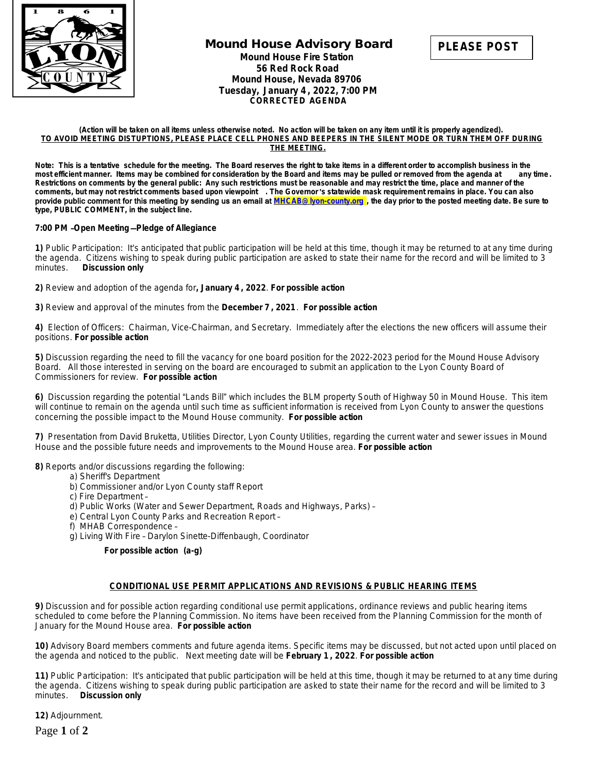

# **Mound House Advisory Board Mound House Fire Station 56 Red Rock Road Mound House, Nevada 89706 Tuesday, January 4 , 2022, 7:00 PM CORRECTED AGENDA**

#### **(Action will be taken on all items unless otherwise noted. No action will be taken on any item until it is properly agendized). TO AVOID MEETING DISTUPTIONS, PLEASE PLACE CELL PHONES AND BEEPERS IN THE SILENT MODE OR TURN THEM OFF DURING THE MEETING.**

**Note: This is a tentative schedule for the meeting. The Board reserves the right to take items in a different order to accomplish business in the most efficient manner. Items may be combined for consideration by the Board and items may be pulled or removed from the agenda at any time. Restrictions on comments by the general public: Any such restrictions must be reasonable and may restrict the time, place and manner of the comments, but may not restrict comments based upon viewpoint . The Governor** '**s statewide mask requirement remains in place. You can also**  provide public comment for this meeting by sending us an email at **[MHCAB@lyon-county.org](mailto:MHCAB@lyon-county.org) [, the day prior to the posted meeting date. Be sure to](mailto:MHCAB@lyon-county.org)  [type, PUBLIC COMMENT, in the subject line.](mailto:MHCAB@lyon-county.org)**

### **7:00 PM** –**Open Meeting** —**[Pledge of Allegiance](mailto:MHCAB@lyon-county.org)**

**[1\)](mailto:MHCAB@lyon-county.org)** [P](mailto:MHCAB@lyon-county.org)ublic Participation: It'[s anticipated that public participation will be held at this time, though it may be returned to at any time during](mailto:MHCAB@lyon-county.org)  [the agenda. Citizens wishing to speak during public participation are asked to state their name for the record and will be limited to 3](mailto:MHCAB@lyon-county.org) minutes. Discussion only **[Discussion only](mailto:MHCAB@lyon-county.org)** 

**[2\)](mailto:MHCAB@lyon-county.org)** [Review and adoption of the agenda for](mailto:MHCAB@lyon-county.org)**[,](mailto:MHCAB@lyon-county.org) [January 4](mailto:MHCAB@lyon-county.org) [,](mailto:MHCAB@lyon-county.org) [2022](mailto:MHCAB@lyon-county.org)**[.](mailto:MHCAB@lyon-county.org) *[For possible action](mailto:MHCAB@lyon-county.org)*

**[3\)](mailto:MHCAB@lyon-county.org)** [Review and approval of the minutes from the](mailto:MHCAB@lyon-county.org) **[December 7](mailto:MHCAB@lyon-county.org) [, 2021](mailto:MHCAB@lyon-county.org)**[.](mailto:MHCAB@lyon-county.org) *[For possible action](mailto:MHCAB@lyon-county.org)*

**[4\)](mailto:MHCAB@lyon-county.org)** [Election of Officers: Chairman, Vice-Chairman, and Secretary. Immediately after the elections the new officers will assume their](mailto:MHCAB@lyon-county.org)  [positions.](mailto:MHCAB@lyon-county.org) *[For possible action](mailto:MHCAB@lyon-county.org)*

**[5\)](mailto:MHCAB@lyon-county.org)** [Discussion regarding the need to fill the vacancy for one board position for the 2022-2023 period for the Mound House Advisory](mailto:MHCAB@lyon-county.org) [Board. All those interested in serving on the board are encouraged to submit an application to the Lyon County Board of](mailto:MHCAB@lyon-county.org)  [Commissioners for review.](mailto:MHCAB@lyon-county.org) *[For possible action](mailto:MHCAB@lyon-county.org)*

**[6\)](mailto:MHCAB@lyon-county.org)** [Discussion regarding the potential](mailto:MHCAB@lyon-county.org) "[Lands Bill](mailto:MHCAB@lyon-county.org)["](mailto:MHCAB@lyon-county.org) [which includes the BLM property South of Highway 50 in Mound House. This item](mailto:MHCAB@lyon-county.org)  [will continue to remain on the agenda until such time as sufficient information is received from Lyon County to answer the questions](mailto:MHCAB@lyon-county.org)  [concerning the possible impact to the Mound House community.](mailto:MHCAB@lyon-county.org) *[For possible action](mailto:MHCAB@lyon-county.org)*

**[7\)](mailto:MHCAB@lyon-county.org)** [Presentation from David Bruketta, Utilities Director, Lyon County Utilities, regarding the current water and sewer issues in Mound](mailto:MHCAB@lyon-county.org)  [House and the possible future needs and improvements to the Mound House area.](mailto:MHCAB@lyon-county.org) *[For possible action](mailto:MHCAB@lyon-county.org)*

**[8\)](mailto:MHCAB@lyon-county.org)** [Reports and/or discussions regarding the following:](mailto:MHCAB@lyon-county.org)

- [a\) Sheriff's Department](mailto:MHCAB@lyon-county.org)
	- [b\) Commissioner and/or Lyon County staff Report](mailto:MHCAB@lyon-county.org)
	- [c\) Fire Department](mailto:MHCAB@lyon-county.org) [–](mailto:MHCAB@lyon-county.org)
	- [d\) Public Works \(Water and Sewer Department, Roads and Highways, Parks\)](mailto:MHCAB@lyon-county.org) [–](mailto:MHCAB@lyon-county.org)
	- [e\) Central Lyon County Parks and Recreation Report](mailto:MHCAB@lyon-county.org) [–](mailto:MHCAB@lyon-county.org)
	- [f\) MHAB Correspondence](mailto:MHCAB@lyon-county.org) –
	- g) Living With Fire – [Darylon Sinette-Diffenbaugh, Coordinator](mailto:MHCAB@lyon-county.org)

### *[For possible action \(a-g\)](mailto:MHCAB@lyon-county.org)*

### **[CONDITIONAL USE PERMIT APPLICATIONS AND REVISIONS & PUBLIC HEARING ITEMS](mailto:MHCAB@lyon-county.org)**

**[9\)](mailto:MHCAB@lyon-county.org)** [Discussion and for possible action regarding conditional use permit applications, ordinance reviews and public hearing items](mailto:MHCAB@lyon-county.org)  [scheduled to come before the Planning Commission. No items have been received from the Planning Commission for the month of](mailto:MHCAB@lyon-county.org)  [January for the Mound House area.](mailto:MHCAB@lyon-county.org) *[For possible action](mailto:MHCAB@lyon-county.org)*

**[10\)](mailto:MHCAB@lyon-county.org)** [Advisory Board members comments and future agenda items. Specific items may be discussed, but not acted upon until placed on](mailto:MHCAB@lyon-county.org)  [the agenda and noticed to the public. Next meeting date will be](mailto:MHCAB@lyon-county.org) **[February 1](mailto:MHCAB@lyon-county.org) [, 2022](mailto:MHCAB@lyon-county.org)**[.](mailto:MHCAB@lyon-county.org) *[For possible action](mailto:MHCAB@lyon-county.org)*

**[11\)](mailto:MHCAB@lyon-county.org)** Public Participation: It'[s anticipated that public participation will be held at this time, though it may be returned to at any time during](mailto:MHCAB@lyon-county.org)  [the agenda. Citizens wishing to speak during public participation are asked to state their name for the record and will be limited to 3](mailto:MHCAB@lyon-county.org)  [minutes.](mailto:MHCAB@lyon-county.org) *[Discussion only](mailto:MHCAB@lyon-county.org)*

**[12\)](mailto:MHCAB@lyon-county.org)** [Adjournment.](mailto:MHCAB@lyon-county.org)

Page **1** of **2**